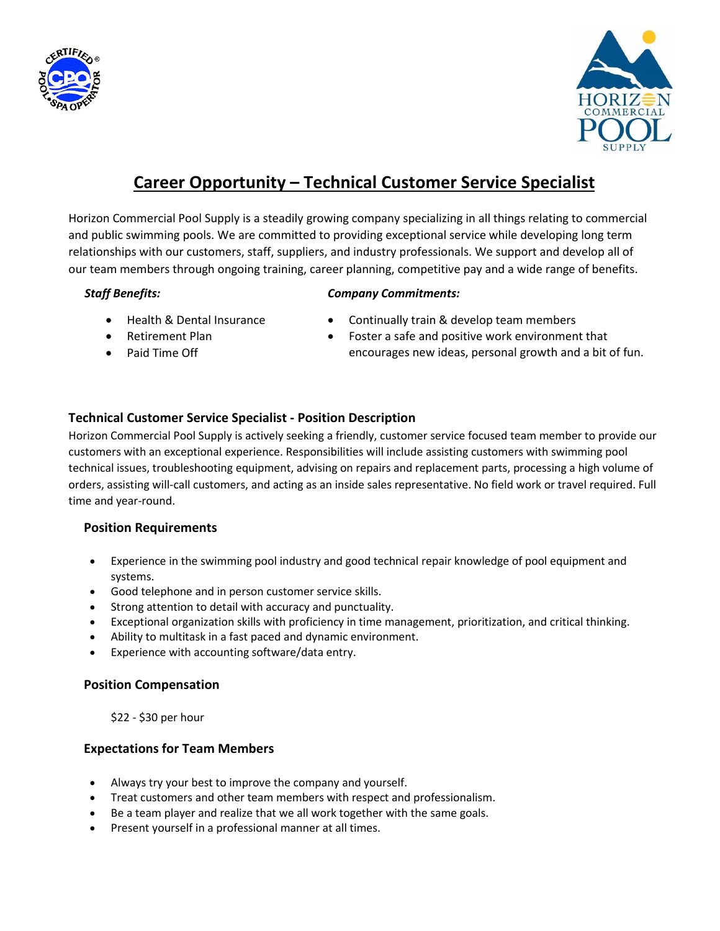



# **Career Opportunity – Technical Customer Service Specialist**

Horizon Commercial Pool Supply is a steadily growing company specializing in all things relating to commercial and public swimming pools. We are committed to providing exceptional service while developing long term relationships with our customers, staff, suppliers, and industry professionals. We support and develop all of our team members through ongoing training, career planning, competitive pay and a wide range of benefits.

#### *Staff Benefits:*

#### *Company Commitments:*

- Health & Dental Insurance
- Retirement Plan
- Paid Time Off
- Continually train & develop team members
- Foster a safe and positive work environment that encourages new ideas, personal growth and a bit of fun.

# **Technical Customer Service Specialist ‐ Position Description**

Horizon Commercial Pool Supply is actively seeking a friendly, customer service focused team member to provide our customers with an exceptional experience. Responsibilities will include assisting customers with swimming pool technical issues, troubleshooting equipment, advising on repairs and replacement parts, processing a high volume of orders, assisting will-call customers, and acting as an inside sales representative. No field work or travel required. Full time and year-round.

# **Position Requirements**

- Experience in the swimming pool industry and good technical repair knowledge of pool equipment and systems.
- Good telephone and in person customer service skills.
- Strong attention to detail with accuracy and punctuality.
- Exceptional organization skills with proficiency in time management, prioritization, and critical thinking.
- Ability to multitask in a fast paced and dynamic environment.
- Experience with accounting software/data entry.

## **Position Compensation**

\$22 - \$30 per hour

## **Expectations for Team Members**

- Always try your best to improve the company and yourself.
- Treat customers and other team members with respect and professionalism.
- Be a team player and realize that we all work together with the same goals.
- Present yourself in a professional manner at all times.